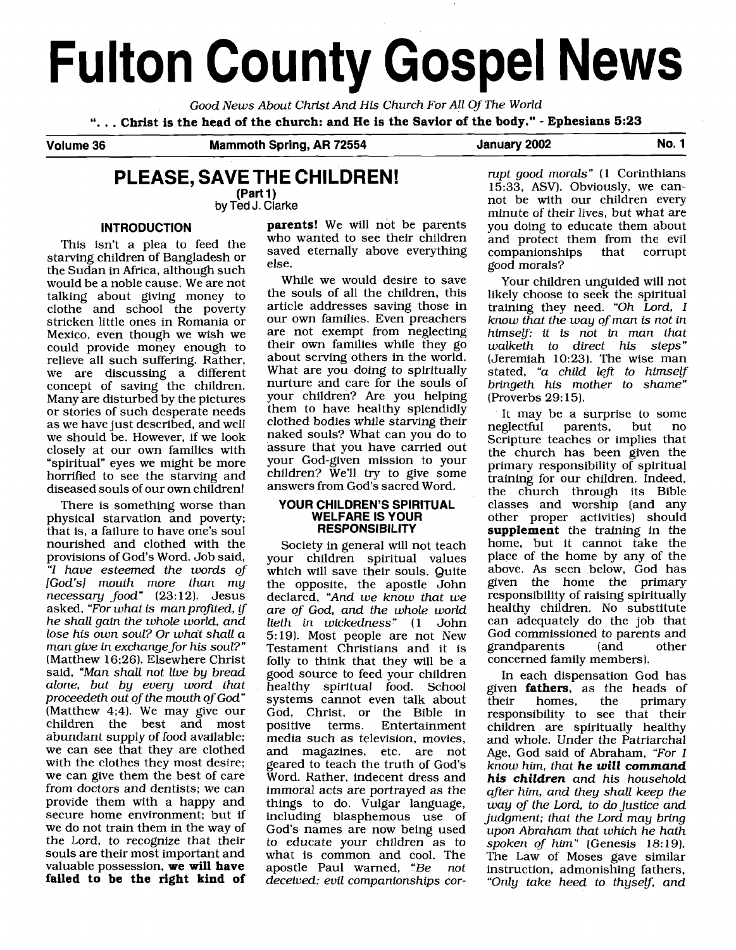# **Fulton County Gospel News**

Good News About Christ And His Church For All Of The World ". . . **Christ is the head of the church: and He is the Savior of the body."** - **Ephesians 5:23** 

**Volume 36 Mammoth Spring, AR 72554 January 2002 No. 1** 

# **PLEASE, SAVE THE CHILDREN!**

**(Part 1) by Ted** J. **Clarke** 

This isn't a plea to feed the starving children of Bangladesh or saved eternally above everything the Sudan in Africa, although such else.<br>
would be a poble cause. We are not while we would desire to save would be a noble cause. We are not while we would desire to save<br>talking about giving money to the souls of all the children, this talking about giving money to the souls of all the children, this<br>clothe and school the noverty article addresses saving those in clothe and school the poverty article addresses saving those in<br>stricken little ones in Romania or our own families. Even preachers stricken little ones in Romania or Mexico, even though we wish we could provide money enough to relieve all such suffering. Rather, we are discussing a different concept of saving the children. Many are disturbed by the pictures or stories of such desperate needs as we have just described, and well we should be. However, if we look closely at our own families with "spiritual" eyes we might be more horrified to see the starving and diseased souls of our own children!

There is something worse than physical starvation and poverty; that is, a failure to have one's soul nourished and clothed with the provisions of God's Word. Job said, "I have esteemed the words of [God's] mouth more than my necessary food" (23:12). Jesus asked, "For what is man profited, if he shall gain the whole world, and lose his own soul? Or what shall a man give in exchange for his soul?" (Matthew 16;26). Elsewhere Christ said, "Man shall not live by bread alone, but by every word that proceedeth out of the mouth of God" (Matthew 4;4). We may give our children the best and most abundant supply of food available; we can see that they are clothed with the clothes they most desire; we can give them the best of care from doctors and dentists; we can provide them with a happy and secure home environment; but if we do not train them in the way of the Lord, to recognize that their souls are their most important and valuable possession, **we will have failed to be the right kind of** 

**INTRODUCTION parents!** We will not be parents who wanted to see their children

> are not exempt from neglecting their own families while they go about serving others in the world. What are you doing to spiritually nurture and care for the souls of your children? Are you helping them to have healthy splendidly clothed bodies while starving their naked souls? What can you do to assure that you have carried out your God-given mission to your children? We'll try to give some answers from God's sacred Word.

#### **YOUR CHILDREN'S SPIRITUAL WELFARE IS YOUR RESPONSIBILITY**

Society in general will not teach your children spiritual values which will save their souls. Quite the opposite, the apostle John declared, "And we know that we are of God, and the whole world<br>lieth in wickedness" (1 John lieth in wickedness" (1 5:19). Most people are not New Testament Christians and it is folly to think that they will be a good source to feed your children healthy spiritual food. School systems cannot even talk about God, Christ, or the Bible in **Entertainment** media such as television, movies, and magazines, etc. are not geared to teach the truth of God's Word. Rather, indecent dress and immoral acts are portrayed as the things to do. Vulgar language, including blasphemous use of God's names are now being used to educate your children as to what is common and cool. The<br>apostle Paul warned. "Be not apostle Paul warned, "Be deceived: evil companionships cor-

rupt good morals" (1 Corinthians 1533, ASV). Obviously, we cannot be with our children every minute of their lives, but what are you doing to educate them about and protect them from the evil<br>companionships that corrupt companionships good morals?

Your children unguided will not likely choose to seek the spiritual training they need. "Oh Lord, I know that the way of man is not in himself: it is not in man that walketh to direct his steps" (Jeremiah 10:23). The wise man stated, "a child left to himself bringeth his mother to shame" (Proverbs 29: 15).

It may be a surprise to some<br>neglectful parents, but no parents, Scripture teaches or implies that the church has been given the primary responsibility of spiritual training for our children. Indeed, the church through its Bible classes and worship (and any other proper activities) should **supplement** the training in the home, but it cannot take the place of the home by any of the above. As seen below, God has given the home the primary responsibility of raising spiritually healthy children. No substitute can adequately do the job that God commissioned to parents and<br>grandparents (and other grandparents concerned family members).

In each dispensation God has given **fathers**, as the heads of their homes. the primary primary responsibility to see that their children are spiritually healthy and whole. Under the Patriarchal Age, God said of Abraham, "For I know him, that **he will command his children** and his household after him, and they shall keep the way of the Lord, to do justice and judgment; that the Lord may bring upon Abraham that which he hath spoken of him" (Genesis 18:19). The Law of Moses gave similar instruction, admonishing fathers, "Only take heed to thyself, and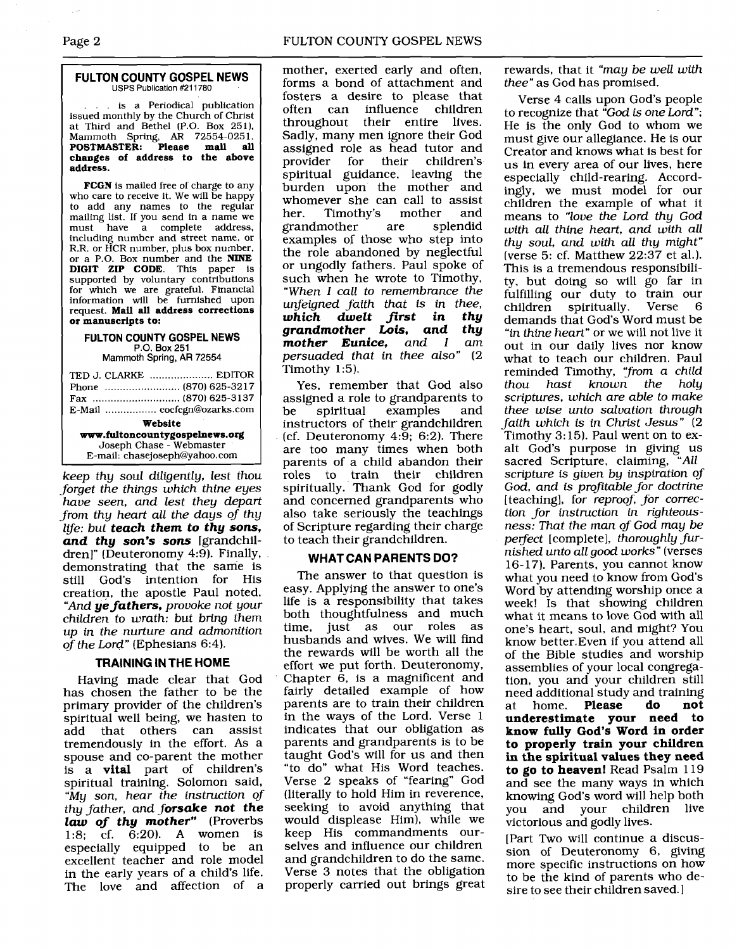#### **FULTON COUNTY GOSPEL NEWS**  USPS Publication #211780

... is a Periodical publication issued monthly by the Church of Christ at Third and Bethel [P.O. Box 251). Mammoth Spring, AR 72554-0251. **POSTMASTER: Please mail all changes of address to the above address.** 

**FCGN** is mailed free of charge to any who care to receive it. We will be happy to add any names to the regular mailing list. If you send in a name we<br>must have a complete address. have a complete address, including number and street name, or R.R. or HCR number, plus box number. or a P.O. Box number and the **NINE DIGIT ZIP CODE.** This paper is supported by voluntary contributions for which we are grateful. Financial information will be furnished upon request. **Mail** all **address corrections or manuscripts to:** 

#### **FULTON COUNTY GOSPEL NEWS P.O. Box** 251

Mammoth **Spring,** AR 72554

| TED J. CLARKE  EDITOR          |  |  |
|--------------------------------|--|--|
|                                |  |  |
| E-Mail  cocfcgn@ozarks.com     |  |  |
| Website                        |  |  |
| www.fultoncountygospelnews.org |  |  |
| Joseph Chase - Webmaster       |  |  |
| E-mail: chasejoseph@yahoo.com  |  |  |

keep thy soul diligently, lest thou forget the things which thine eyes have seen, and lest they depart from thy heart all the days of thy lije: but **teach them to thy sons, and thy son's sons** [grandchildren]" (Deuteronomy 4:9). Finally, demonstrating that the same is<br>still God's intention for His still God's intention for His creation, the apostle Paul noted, "And **ye fathers,** provoke not your children to wrath: but bring them up in the nurture and admonition of the Lord" (Ephesians 6:4).

### **TRAINING IN THE HOME**

Having made clear that God has chosen the father to be the primary provider of the children's spiritual well being, we hasten to add that others can assist tremendously in the effort. As a spouse and co-parent the mother is a **vital** part of children's spiritual training. Solomon said, "My son, hear the instruction of thy father, and **forsake not the law of thy mother"** (Proverbs 1:8; cf. 6:20). **A** women is especially equipped to be an excellent teacher and role model in the early years of a child's life. The love and affection of a

mother, exerted early and often, forms a bond of attachment and fosters a desire to please that often can<br>throughout their entire lives. Sadly, many men ignore their God assigned role as head tutor and<br>provider for their children's children's spiritual guidance, leaving the burden upon the mother and whomever she can call to assist<br>her. Timothy's mother and her. Timothy's grandmother are splendid examples of those who step into the role abandoned by neglectful or ungodly fathers. Paul spoke of such when he wrote to Timothy, "When I call to remembrance the unfeigned faith that is in thee,<br>**which dwelt first in thy** dwelt first in thy<br>wher Lois. and thu **grandmother Lois, and thy mother Eunice,** and persuaded that in thee also" (2 Timothy 1:5).

Yes, remember that God also assigned a role to grandparents to be spiritual examples and instructors of their grandchildren (cf. Deuteronomy 4:9; 6:2). There are too many times when both parents of a child abandon their roles to train their children spiritually. Thank God for godly and concerned grandparents who also take seriously the teachings of Scripture regarding their charge to teach their grandchildren.

### **WHAT CAN PARENTS DO?**

The answer to that question is easy. Applying the answer to one's life is a responsibility that takes both thoughtfulness and much time, just as our roles as husbands and wives. We will find the rewards will be worth all the effort we put forth. Deuteronomy, Chapter 6, is a magnificent and fairly detailed example of how parents are to train their children in the ways of the Lord. Verse 1 indicates that our obligation as parents and grandparents is to be taught God's will for us and then "to do" what His Word teaches. Verse 2 speaks of "fearing" God (literally to hold Him in reverence, seeking to avoid anything that would displease Him), while we keep His commandments ourselves and influence our children and grandchildren to do the same. Verse 3 notes that the obligation properly carried out brings great rewards, that it "may be well with thee" as God has promised.

Verse 4 calls upon God's people to recognize that "God is one Lord"; He is the only God to whom we must give our allegiance. He is our Creator and knows what is best for us in every area of our lives, here especially child-rearing. Accordingly, we must model for our children the example of what it means to "love the Lord thy God with all thine heart, and with all thy soul, and with all thy might" (verse 5: cf. Matthew 22:37 et al.). This is a tremendous responsibility, but doing so will go far in fulfilling our duty to train our spiritually. demands that God's Word must be "in thine heart" or we will not live it out in our daily lives nor know what to teach our children. Paul reminded Timothy, "from a child<br>thou hast known the holy known the scriptures, which are able to make thee wise unto salvation through faith which is in Christ Jesus" (2 Timothy 3: 15). Paul went on to exalt God's purpose in giving us sacred Scripture, claiming, "All scripture is given by inspiration of God, and is profitable for doctrine [teaching], for reproof, for correction for instruction in righteousness: That the man of God may be perfect [complete], thoroughly furnished unto all good works" (verses 16-17). Parents, you cannot know what you need to know from God's Word by attending worship once a week! Is that showing children what it means to love God with all one's heart, soul, and might? You know better.Even if you attend all of the Bible studies and worship assemblies of your local congregation, you and your children still need additional study and training<br>at home. **Please do not** at home. **underestimate your need to know fully God's Word in order to properly train your children in the spiritual values they need to go to heaven!** Read Psalm 119 and see the many ways in which knowing God's word will help both you and your children live victorious and godly lives.

[Part Two will continue a discussion of Deuteronomy 6, giving more specific instructions on how to be the kind of parents who desire to see their children saved. I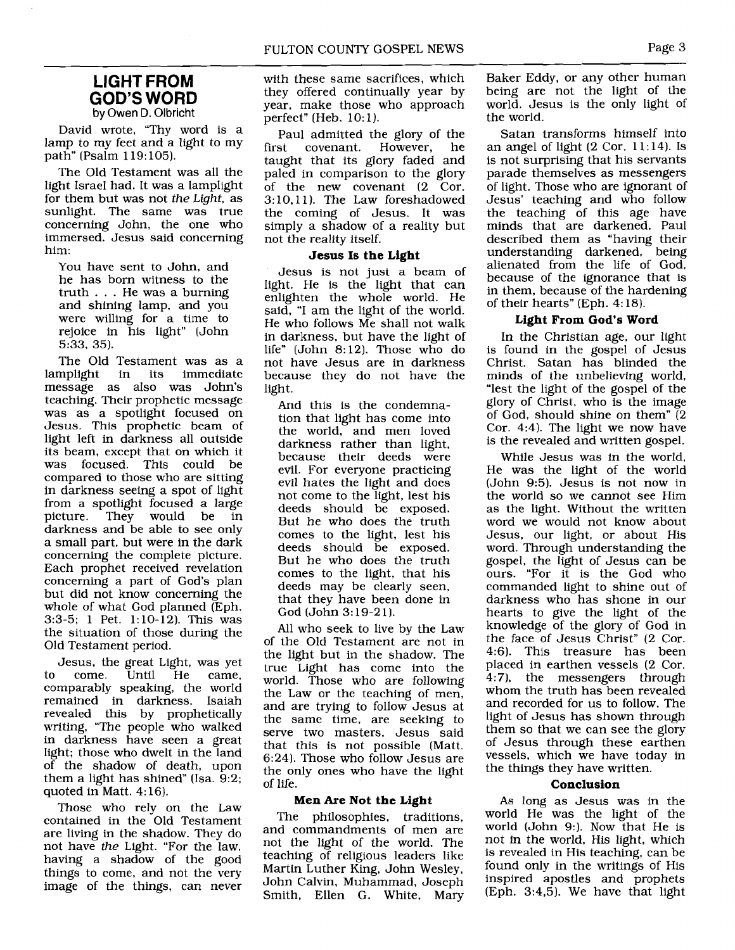## - - **LIGHT FROM GOD'S WORD**  by Owen D. Olbricht

David wrote, "Thy word is a lamp to my feet and a light to my path" (Psalm 1 19: 105).

The Old Testament was all the light Israel had. It was a lamplight for them but was not the Light, as sunlight. The same was true concerning John, the one who immersed. Jesus said concerning him:

You have sent to John, and he has born witness to the truth . . . He was a burning and shining lamp, and you were willing for a time to rejoice in his light" (John 5:33, 35).

The Old Testament was as a lamplight in its immediate message as also was John's teaching. Their prophetic message was as a spotlight focused on Jesus. This prophetic beam of light left in darkness all outside its beam, except that on which it was focused. This could be compared to those who are sitting in darkness seeing a spot of light from a spotlight focused a large They would be in darkness and be able to see only a small part, but were in the dark concerning the complete picture. Each prophet received revelation concerning a part of God's plan but did not know concerning the whole of what God planned (Eph. 3:3-5; 1 Pet. 1:lO-12). This was the situation of those during the Old Testament period.

Jesus, the great Light, was yet to come. comparably speaking, the world remained in darkness. Isaiah revealed this by prophetically writing, "The people who walked in darkness have seen a great light; those who dwelt in the land of the shadow of death, upon them a light has shined" (Isa.  $9:2$ ; quoted in Matt. 4:16).

Those who rely on the Law contained in the Old Testament are living in the shadow. They do not have the Light. "For the law. having a shadow of the good things to come, and not the very image of the things, can never with these same sacrifices, which they offered continually year by year, make those who approach perfect" (Heb. 10: 1).

Paul admitted the glory of the<br>st covenant. However. he first covenant. However, taught that its glory faded and paled in comparison to the glory of the new covenant (2 Cor. 3: 10,ll). The Law foreshadowed the coming of Jesus. It was simply a shadow of a reality but not the reality itself.

#### **Jesus Is the Light**

Jesus is not just a beam of light. He is the light that can enlighten the whole world. He said, "I am the light of the world. He who follows Me shall not walk in darkness, but have the light of life" (John 8:12). Those who do not have Jesus are in darkness because they do not have the light.

And this is the condemnation that light has come into the world, and men loved darkness rather than light, because their deeds were evil. For everyone practicing evil hates the light and does not come to the light, lest his deeds should be exposed. But he who does the truth comes to the light, lest his deeds should be exposed. But he who does the truth comes to the light, that his deeds may be clearly seen, that they have been done in God (John 3: 19-21).

All who seek to live by the Law of the Old Testament are not in the light but in the shadow. The true Light has come into the world. Those who are following the Law or the teaching of men, and are trying to follow Jesus at the same time, are seeking to serve two masters. Jesus said that this is not possible (Matt. 6:24). Those who follow Jesus are the only ones who have the light of life.

#### **Men Are Not the Light**

The philosophies, traditions, and commandments of men are not the light of the world. The teaching of religious leaders like Martin Luther King, John Wesley, John Calvin. Muhammad, Joseph Smith, Ellen G. White, Mary

Baker Eddy, or any other human being are not the light of the world. Jesus is the only light of the world.

Satan transforms himself into an angel of light  $(2 \text{ Cor. } 11:14)$ . Is is not surprising that his servants parade themselves as messengers of light. Those who are ignorant of Jesus' teaching and who follow the teaching of this age have minds that are darkened. Paul described them as "having their understanding darkened, being alienated from the life of God, because of the ignorance that is in them, because of the hardening of their hearts" (Eph. 4: 18).

#### **Light From God's Word**

In the Christian age, our light is found in the gospel of Jesus Christ. Satan has blinded the minds of the unbelieving world, "lest the light of the gospel of the glory of Christ, who is the image of God, should shine on them" (2 Cor. 4:4). The light we now have is the revealed and written gospel.

While Jesus was in the world, He was the light of the world (John 9:5). Jesus is not now in the world so we cannot see Him as the light. Without the written word we would not know about Jesus, our light, or about His word. Through understanding the gospel, the light of Jesus can be ours. "For it is the God who commanded light to shine out of darkness who has shone in our hearts to give the light of the knowledge of the glory of God in the face of Jesus Christ" (2 Cor. 4:6). This treasure has been placed in earthen vessels (2 Cor. 4:7), the messengers through whom the truth has been revealed and recorded for us to follow. The light of Jesus has shown through them so that we can see the glory of Jesus through these earthen vessels, which we have today in the things they have written.

#### **Conclusion**

As long as Jesus was in the world He was the light of the world (John 9:). Now that He is not in the world, His light, which is revealed in His teaching, can be found only in the writings of His inspired apostles and prophets (Eph. 3:4,5). We have that light